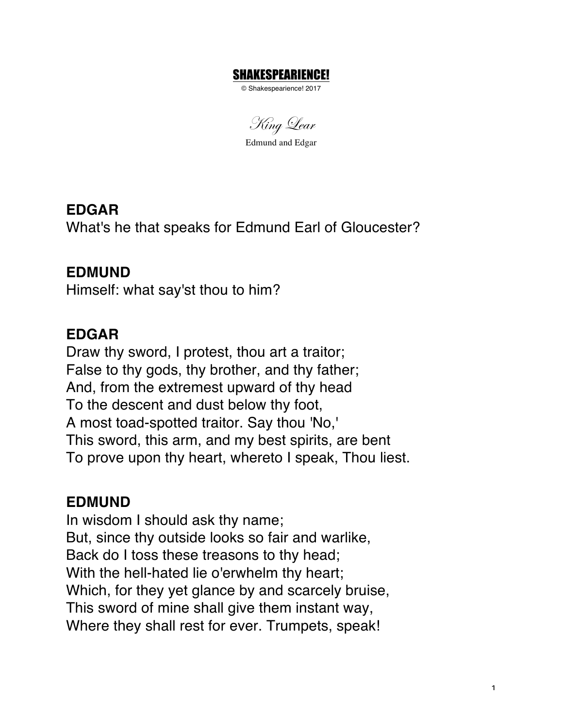#### SHAKESPEARIENCE!

© Shakespearience! 2017

King Lear

Edmund and Edgar

**EDGAR** What's he that speaks for Edmund Earl of Gloucester?

### **EDMUND**

Himself: what say'st thou to him?

## **EDGAR**

Draw thy sword, I protest, thou art a traitor; False to thy gods, thy brother, and thy father; And, from the extremest upward of thy head To the descent and dust below thy foot, A most toad-spotted traitor. Say thou 'No,' This sword, this arm, and my best spirits, are bent To prove upon thy heart, whereto I speak, Thou liest.

#### **EDMUND**

In wisdom I should ask thy name; But, since thy outside looks so fair and warlike, Back do I toss these treasons to thy head; With the hell-hated lie o'erwhelm thy heart; Which, for they yet glance by and scarcely bruise, This sword of mine shall give them instant way, Where they shall rest for ever. Trumpets, speak!